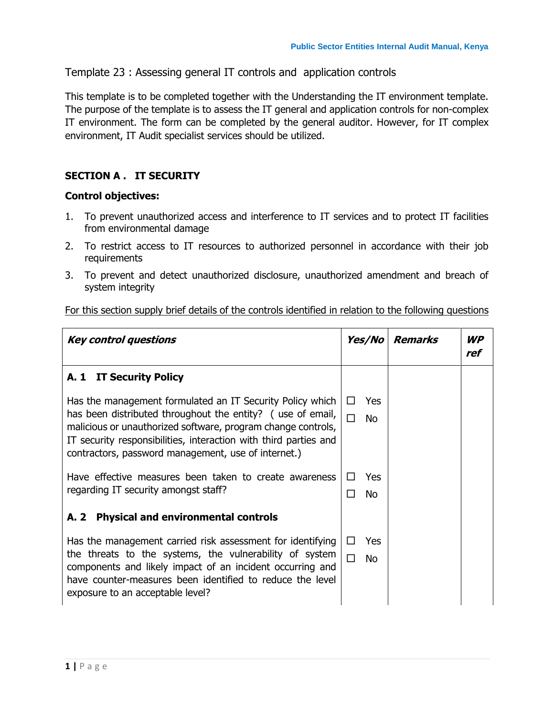Template 23 : Assessing general IT controls and application controls

This template is to be completed together with the Understanding the IT environment template. The purpose of the template is to assess the IT general and application controls for non-complex IT environment. The form can be completed by the general auditor. However, for IT complex environment, IT Audit specialist services should be utilized.

#### **SECTION A . IT SECURITY**

#### **Control objectives:**

- 1. To prevent unauthorized access and interference to IT services and to protect IT facilities from environmental damage
- 2. To restrict access to IT resources to authorized personnel in accordance with their job requirements
- 3. To prevent and detect unauthorized disclosure, unauthorized amendment and breach of system integrity

| <b>Key control questions</b>                                                                                                                                                                                                                                                                                       | Yes/No                           | <b>Remarks</b> | WP<br>ref |
|--------------------------------------------------------------------------------------------------------------------------------------------------------------------------------------------------------------------------------------------------------------------------------------------------------------------|----------------------------------|----------------|-----------|
| A. 1<br><b>IT Security Policy</b>                                                                                                                                                                                                                                                                                  |                                  |                |           |
| Has the management formulated an IT Security Policy which<br>has been distributed throughout the entity? (use of email,<br>malicious or unauthorized software, program change controls,<br>IT security responsibilities, interaction with third parties and<br>contractors, password management, use of internet.) | Yes<br>$\perp$<br>П<br>No.       |                |           |
| Have effective measures been taken to create awareness<br>regarding IT security amongst staff?                                                                                                                                                                                                                     | <b>Yes</b><br>$\Box$<br>No.<br>П |                |           |
| <b>Physical and environmental controls</b><br>A. 2                                                                                                                                                                                                                                                                 |                                  |                |           |
| Has the management carried risk assessment for identifying<br>the threats to the systems, the vulnerability of system<br>components and likely impact of an incident occurring and<br>have counter-measures been identified to reduce the level<br>exposure to an acceptable level?                                | Yes<br>П<br><b>No</b>            |                |           |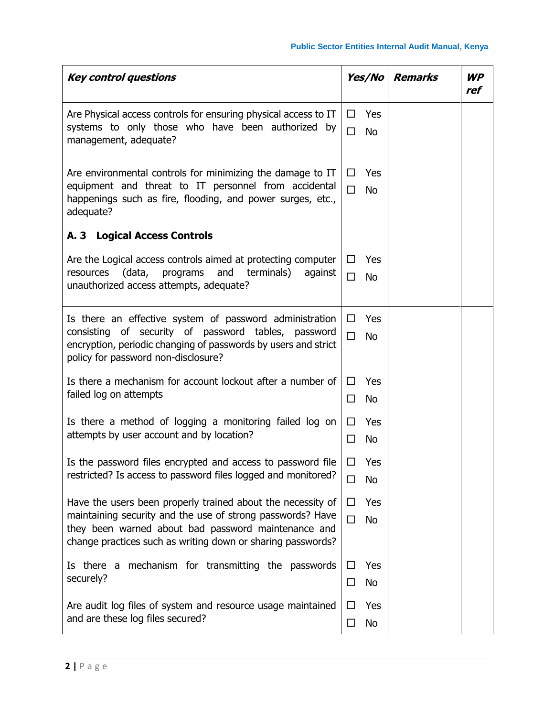| <b>Key control questions</b>                                                                                                                                                                                                                    | <b>Yes/No</b>                        | <b>Remarks</b> | <b>WP</b><br>ref |
|-------------------------------------------------------------------------------------------------------------------------------------------------------------------------------------------------------------------------------------------------|--------------------------------------|----------------|------------------|
| Are Physical access controls for ensuring physical access to IT<br>systems to only those who have been authorized by<br>management, adequate?                                                                                                   | □<br>Yes<br>$\Box$<br><b>No</b>      |                |                  |
| Are environmental controls for minimizing the damage to IT<br>equipment and threat to IT personnel from accidental<br>happenings such as fire, flooding, and power surges, etc.,<br>adequate?                                                   | Yes<br>$\Box$<br>$\Box$<br><b>No</b> |                |                  |
| A. 3 Logical Access Controls                                                                                                                                                                                                                    |                                      |                |                  |
| Are the Logical access controls aimed at protecting computer<br>(data,<br>and<br>terminals)<br>resources<br>programs<br>against<br>unauthorized access attempts, adequate?                                                                      | Yes<br>ப<br>$\Box$<br><b>No</b>      |                |                  |
| Is there an effective system of password administration<br>consisting of security of password tables, password<br>encryption, periodic changing of passwords by users and strict<br>policy for password non-disclosure?                         | $\Box$<br>Yes<br>$\Box$<br><b>No</b> |                |                  |
| Is there a mechanism for account lockout after a number of<br>failed log on attempts                                                                                                                                                            | Yes<br>□<br>$\Box$<br><b>No</b>      |                |                  |
| Is there a method of logging a monitoring failed log on<br>attempts by user account and by location?                                                                                                                                            | □<br>Yes<br>$\Box$<br><b>No</b>      |                |                  |
| Is the password files encrypted and access to password file<br>restricted? Is access to password files logged and monitored?                                                                                                                    | $\Box$<br>Yes<br>No                  |                |                  |
| Have the users been properly trained about the necessity of<br>maintaining security and the use of strong passwords? Have<br>they been warned about bad password maintenance and<br>change practices such as writing down or sharing passwords? | Yes<br>□<br>$\Box$<br>No             |                |                  |
| Is there a<br>mechanism for transmitting the passwords<br>securely?                                                                                                                                                                             | Yes<br>ப<br>No<br>□                  |                |                  |
| Are audit log files of system and resource usage maintained<br>and are these log files secured?                                                                                                                                                 | Yes<br>$\Box$<br>No<br>□             |                |                  |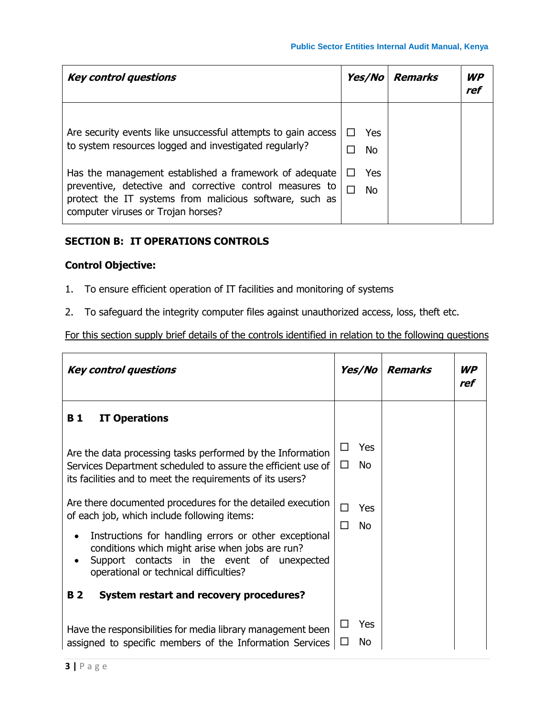| <b>Key control questions</b>                                                                                                                                                                                                                                                                                                                   | Yes/No                              | Remarks | <b>WP</b><br>ref |
|------------------------------------------------------------------------------------------------------------------------------------------------------------------------------------------------------------------------------------------------------------------------------------------------------------------------------------------------|-------------------------------------|---------|------------------|
| Are security events like unsuccessful attempts to gain access<br>to system resources logged and investigated regularly?<br>Has the management established a framework of adequate<br>preventive, detective and corrective control measures to<br>protect the IT systems from malicious software, such as<br>computer viruses or Trojan horses? | Yes<br>$\perp$<br>No.<br>Yes<br>No. |         |                  |

## **SECTION B: IT OPERATIONS CONTROLS**

## **Control Objective:**

- 1. To ensure efficient operation of IT facilities and monitoring of systems
- 2. To safeguard the integrity computer files against unauthorized access, loss, theft etc.

| <b>Key control questions</b>                                                                                                                                                                      | Yes/No                           | <b>Remarks</b> | <b>WP</b><br>ref |
|---------------------------------------------------------------------------------------------------------------------------------------------------------------------------------------------------|----------------------------------|----------------|------------------|
| <b>IT Operations</b><br><b>B</b> 1                                                                                                                                                                |                                  |                |                  |
| Are the data processing tasks performed by the Information<br>Services Department scheduled to assure the efficient use of<br>its facilities and to meet the requirements of its users?           | Yes<br>П<br><b>No</b><br>$\perp$ |                |                  |
| Are there documented procedures for the detailed execution<br>of each job, which include following items:                                                                                         |                                  |                |                  |
| Instructions for handling errors or other exceptional<br>conditions which might arise when jobs are run?<br>Support contacts in the event of unexpected<br>operational or technical difficulties? | <b>No</b><br>П                   |                |                  |
| <b>B2</b><br>System restart and recovery procedures?                                                                                                                                              |                                  |                |                  |
| Have the responsibilities for media library management been<br>assigned to specific members of the Information Services                                                                           | Yes<br>ΙI<br>Νo                  |                |                  |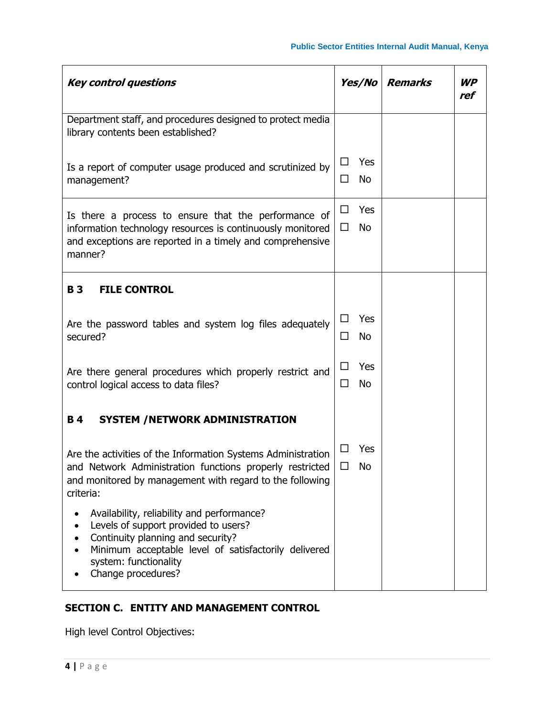| <b>Key control questions</b>                                                                                                                                                                                                                | <b>Yes/No</b>                   | <b>Remarks</b> | WP<br>ref |
|---------------------------------------------------------------------------------------------------------------------------------------------------------------------------------------------------------------------------------------------|---------------------------------|----------------|-----------|
| Department staff, and procedures designed to protect media<br>library contents been established?                                                                                                                                            |                                 |                |           |
| Is a report of computer usage produced and scrutinized by<br>management?                                                                                                                                                                    | Yes<br>$\sqcup$<br>No<br>ΙI     |                |           |
| Is there a process to ensure that the performance of<br>information technology resources is continuously monitored<br>and exceptions are reported in a timely and comprehensive<br>manner?                                                  | Yes<br>$\Box$<br><b>No</b><br>□ |                |           |
| <b>B3</b><br><b>FILE CONTROL</b>                                                                                                                                                                                                            |                                 |                |           |
| Are the password tables and system log files adequately<br>secured?                                                                                                                                                                         | Yes<br>ப<br>□<br>No             |                |           |
| Are there general procedures which properly restrict and<br>control logical access to data files?                                                                                                                                           |                                 |                |           |
| <b>B4</b><br>SYSTEM / NETWORK ADMINISTRATION                                                                                                                                                                                                |                                 |                |           |
| Are the activities of the Information Systems Administration<br>and Network Administration functions properly restricted<br>and monitored by management with regard to the following<br>criteria:                                           | Yes<br>ΙI<br>No<br>ΙI           |                |           |
| Availability, reliability and performance?<br>$\bullet$<br>Levels of support provided to users?<br>Continuity planning and security?<br>Minimum acceptable level of satisfactorily delivered<br>system: functionality<br>Change procedures? |                                 |                |           |

# **SECTION C. ENTITY AND MANAGEMENT CONTROL**

High level Control Objectives: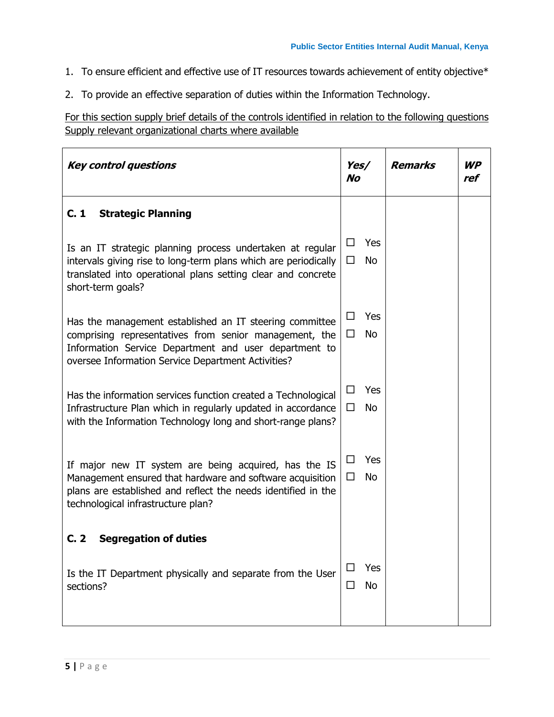- 1. To ensure efficient and effective use of IT resources towards achievement of entity objective\*
- 2. To provide an effective separation of duties within the Information Technology.

For this section supply brief details of the controls identified in relation to the following questions Supply relevant organizational charts where available

| <b>Key control questions</b>                                                                                                                                                                                                     |                                 | <b>Remarks</b> | WP<br>ref |
|----------------------------------------------------------------------------------------------------------------------------------------------------------------------------------------------------------------------------------|---------------------------------|----------------|-----------|
| C.1<br><b>Strategic Planning</b>                                                                                                                                                                                                 |                                 |                |           |
| Is an IT strategic planning process undertaken at regular<br>intervals giving rise to long-term plans which are periodically<br>translated into operational plans setting clear and concrete<br>short-term goals?                | Yes<br>$\Box$<br>□<br><b>No</b> |                |           |
| Has the management established an IT steering committee<br>comprising representatives from senior management, the<br>Information Service Department and user department to<br>oversee Information Service Department Activities? | Yes<br>$\Box$<br><b>No</b><br>□ |                |           |
| Has the information services function created a Technological<br>Infrastructure Plan which in regularly updated in accordance<br>with the Information Technology long and short-range plans?                                     | Yes<br>□<br>$\Box$<br><b>No</b> |                |           |
| If major new IT system are being acquired, has the IS<br>Management ensured that hardware and software acquisition<br>plans are established and reflect the needs identified in the<br>technological infrastructure plan?        | Yes<br>□<br>□<br><b>No</b>      |                |           |
| <b>Segregation of duties</b><br>C. 2                                                                                                                                                                                             |                                 |                |           |
| Is the IT Department physically and separate from the User<br>sections?                                                                                                                                                          | Yes<br>$\Box$<br>No<br>□        |                |           |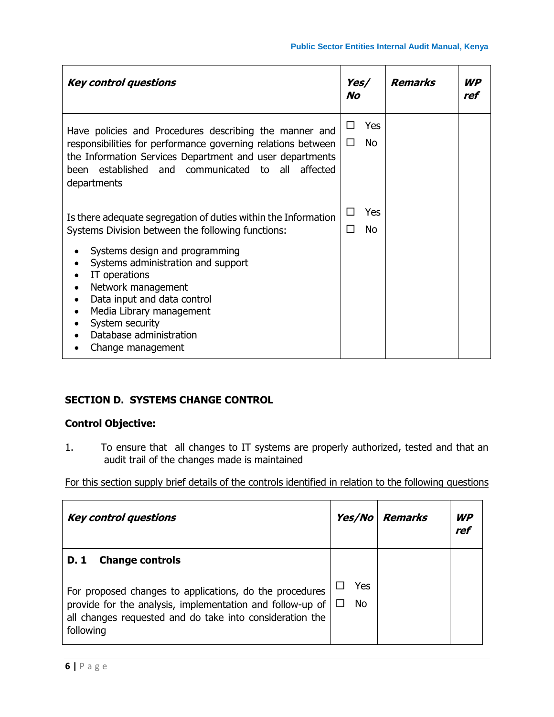| <b>Key control questions</b>                                                                                                                                                                                                                                          | Yes/<br>No                      | <b>Remarks</b> | <b>WP</b><br>ref |
|-----------------------------------------------------------------------------------------------------------------------------------------------------------------------------------------------------------------------------------------------------------------------|---------------------------------|----------------|------------------|
| Have policies and Procedures describing the manner and<br>responsibilities for performance governing relations between<br>the Information Services Department and user departments<br>established and communicated<br>all<br>affected<br>been<br>to to<br>departments | Yes<br>ப<br><b>No</b><br>$\Box$ |                |                  |
| Is there adequate segregation of duties within the Information<br>Systems Division between the following functions:                                                                                                                                                   | Yes<br>$\Box$<br><b>No</b><br>П |                |                  |
| Systems design and programming<br>Systems administration and support<br>IT operations<br>Network management<br>Data input and data control<br>Media Library management<br>System security<br>Database administration<br>Change management                             |                                 |                |                  |

## **SECTION D. SYSTEMS CHANGE CONTROL**

## **Control Objective:**

1. To ensure that all changes to IT systems are properly authorized, tested and that an audit trail of the changes made is maintained

| <b>Key control questions</b>                                                                                                                                                                                                    | <i>Yes/No</i> | <b>Remarks</b> | <b>WP</b><br>ref |
|---------------------------------------------------------------------------------------------------------------------------------------------------------------------------------------------------------------------------------|---------------|----------------|------------------|
| <b>Change controls</b><br>D. 1<br>For proposed changes to applications, do the procedures<br>provide for the analysis, implementation and follow-up of<br>all changes requested and do take into consideration the<br>following | Yes<br>No.    |                |                  |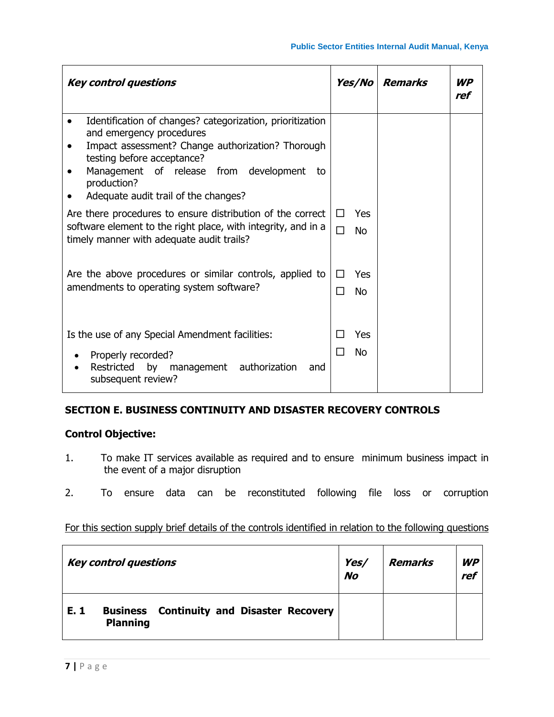| <b>Key control questions</b>                                                                                                                                                                                                                                                    | <b>Yes/No</b>                    | <b>Remarks</b> | <b>WP</b><br>ref |
|---------------------------------------------------------------------------------------------------------------------------------------------------------------------------------------------------------------------------------------------------------------------------------|----------------------------------|----------------|------------------|
| Identification of changes? categorization, prioritization<br>and emergency procedures<br>Impact assessment? Change authorization? Thorough<br>testing before acceptance?<br>Management of release from development<br>to<br>production?<br>Adequate audit trail of the changes? |                                  |                |                  |
| Are there procedures to ensure distribution of the correct<br>software element to the right place, with integrity, and in a<br>timely manner with adequate audit trails?                                                                                                        | Yes<br>$\perp$<br><b>No</b><br>П |                |                  |
| Are the above procedures or similar controls, applied to<br>amendments to operating system software?                                                                                                                                                                            | Yes<br>П<br><b>No</b><br>П       |                |                  |
| Is the use of any Special Amendment facilities:<br>Properly recorded?<br>Restricted<br>by<br>management authorization<br>and<br>subsequent review?                                                                                                                              | Yes<br>No.                       |                |                  |

#### **SECTION E. BUSINESS CONTINUITY AND DISASTER RECOVERY CONTROLS**

#### **Control Objective:**

- 1. To make IT services available as required and to ensure minimum business impact in the event of a major disruption
- 2. To ensure data can be reconstituted following file loss or corruption

|     | <b>Key control questions</b> |                                                  | Yes/<br><b>No</b> | Remarks | <b>WP</b><br>ref |  |
|-----|------------------------------|--------------------------------------------------|-------------------|---------|------------------|--|
| E.1 | <b>Planning</b>              | <b>Business</b> Continuity and Disaster Recovery |                   |         |                  |  |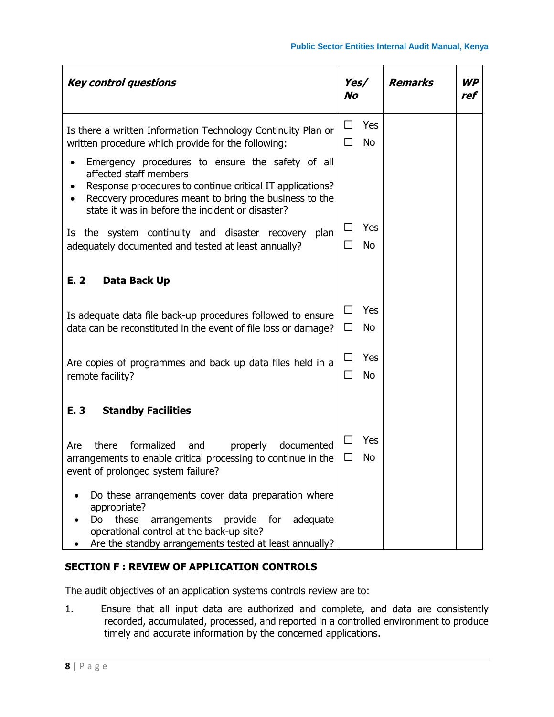| <b>Key control questions</b>                                                                                                                                                                                                                          | Yes/<br>No  |                  | <b>Remarks</b> | <b>WP</b><br>ref |
|-------------------------------------------------------------------------------------------------------------------------------------------------------------------------------------------------------------------------------------------------------|-------------|------------------|----------------|------------------|
| Is there a written Information Technology Continuity Plan or<br>written procedure which provide for the following:                                                                                                                                    | $\Box$<br>□ | Yes<br><b>No</b> |                |                  |
| Emergency procedures to ensure the safety of all<br>affected staff members<br>Response procedures to continue critical IT applications?<br>Recovery procedures meant to bring the business to the<br>state it was in before the incident or disaster? |             |                  |                |                  |
| Is the system continuity and disaster recovery<br>plan<br>adequately documented and tested at least annually?                                                                                                                                         | □<br>□      | Yes<br><b>No</b> |                |                  |
| E. 2<br>Data Back Up                                                                                                                                                                                                                                  |             |                  |                |                  |
| Is adequate data file back-up procedures followed to ensure<br>data can be reconstituted in the event of file loss or damage?                                                                                                                         | □<br>□      | Yes<br><b>No</b> |                |                  |
| Are copies of programmes and back up data files held in a<br>remote facility?                                                                                                                                                                         | $\Box$<br>□ | Yes<br><b>No</b> |                |                  |
| E. 3<br><b>Standby Facilities</b>                                                                                                                                                                                                                     |             |                  |                |                  |
| formalized<br>there<br>properly<br>and<br>documented<br>Are<br>arrangements to enable critical processing to continue in the<br>event of prolonged system failure?                                                                                    | □<br>$\Box$ | Yes<br>No        |                |                  |
| Do these arrangements cover data preparation where<br>appropriate?<br>these<br>Do<br>arrangements<br>provide for<br>adequate<br>operational control at the back-up site?<br>Are the standby arrangements tested at least annually?                    |             |                  |                |                  |

## **SECTION F : REVIEW OF APPLICATION CONTROLS**

The audit objectives of an application systems controls review are to:

1. Ensure that all input data are authorized and complete, and data are consistently recorded, accumulated, processed, and reported in a controlled environment to produce timely and accurate information by the concerned applications.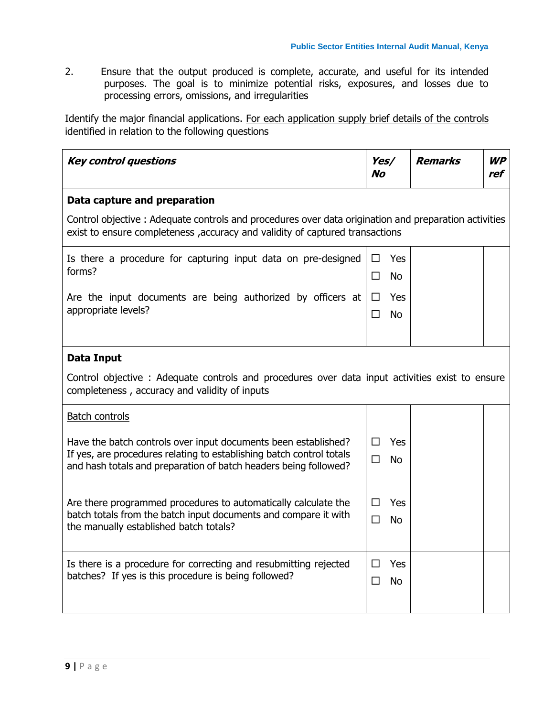2. Ensure that the output produced is complete, accurate, and useful for its intended purposes. The goal is to minimize potential risks, exposures, and losses due to processing errors, omissions, and irregularities

Identify the major financial applications. For each application supply brief details of the controls identified in relation to the following questions

| <b>Key control questions</b>                                                                                                                                                          | Yes/<br><b>No</b>    |  | <b>Remarks</b> | <b>WP</b><br>ref |
|---------------------------------------------------------------------------------------------------------------------------------------------------------------------------------------|----------------------|--|----------------|------------------|
| Data capture and preparation                                                                                                                                                          |                      |  |                |                  |
| Control objective: Adequate controls and procedures over data origination and preparation activities<br>exist to ensure completeness , accuracy and validity of captured transactions |                      |  |                |                  |
| Is there a procedure for capturing input data on pre-designed                                                                                                                         | <b>Yes</b><br>$\Box$ |  |                |                  |
| forms?                                                                                                                                                                                | П<br>No.             |  |                |                  |
| Are the input documents are being authorized by officers at                                                                                                                           | Yes<br>$\Box$        |  |                |                  |
| appropriate levels?                                                                                                                                                                   | □<br><b>No</b>       |  |                |                  |
|                                                                                                                                                                                       |                      |  |                |                  |
| Data Input                                                                                                                                                                            |                      |  |                |                  |
| Control objective : Adequate controls and procedures over data input activities exist to ensure<br>completeness, accuracy and validity of inputs                                      |                      |  |                |                  |
| <b>Batch controls</b>                                                                                                                                                                 |                      |  |                |                  |
| Have the batch controls over input documents been established?                                                                                                                        | Yes<br>П             |  |                |                  |
| If yes, are procedures relating to establishing batch control totals<br>and hash totals and preparation of batch headers being followed?                                              | п<br><b>No</b>       |  |                |                  |
|                                                                                                                                                                                       |                      |  |                |                  |
| Are there programmed procedures to automatically calculate the                                                                                                                        | П<br><b>Yes</b>      |  |                |                  |
| batch totals from the batch input documents and compare it with<br>the manually established batch totals?                                                                             | □<br><b>No</b>       |  |                |                  |
|                                                                                                                                                                                       |                      |  |                |                  |
| Is there is a procedure for correcting and resubmitting rejected                                                                                                                      | П<br>Yes             |  |                |                  |
| batches? If yes is this procedure is being followed?                                                                                                                                  | $\Box$<br><b>No</b>  |  |                |                  |
|                                                                                                                                                                                       |                      |  |                |                  |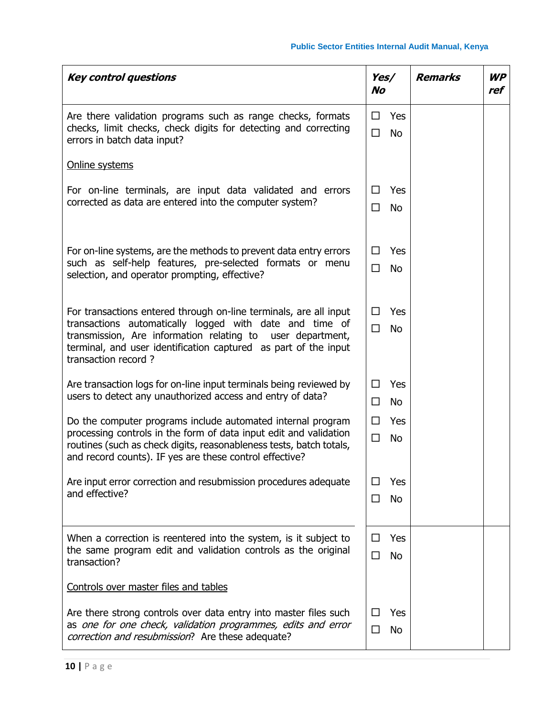| <b>Key control questions</b>                                                                                                                                                                                                                                                         | Yes/<br><b>No</b>               | <b>Remarks</b> | <b>WP</b><br>ref |
|--------------------------------------------------------------------------------------------------------------------------------------------------------------------------------------------------------------------------------------------------------------------------------------|---------------------------------|----------------|------------------|
| Are there validation programs such as range checks, formats<br>checks, limit checks, check digits for detecting and correcting<br>errors in batch data input?                                                                                                                        | Yes<br>□<br>□<br><b>No</b>      |                |                  |
| Online systems                                                                                                                                                                                                                                                                       |                                 |                |                  |
| For on-line terminals, are input data validated and errors<br>corrected as data are entered into the computer system?                                                                                                                                                                | Yes<br>□<br>□<br><b>No</b>      |                |                  |
| For on-line systems, are the methods to prevent data entry errors<br>such as self-help features, pre-selected formats or menu<br>selection, and operator prompting, effective?                                                                                                       | Yes<br>□<br>□<br><b>No</b>      |                |                  |
| For transactions entered through on-line terminals, are all input<br>transactions automatically logged with date and time of<br>transmission, Are information relating to user department,<br>terminal, and user identification captured as part of the input<br>transaction record? | Yes<br>П<br>$\Box$<br><b>No</b> |                |                  |
| Are transaction logs for on-line input terminals being reviewed by<br>users to detect any unauthorized access and entry of data?                                                                                                                                                     | Yes<br>П<br><b>No</b><br>□      |                |                  |
| Do the computer programs include automated internal program<br>processing controls in the form of data input edit and validation<br>routines (such as check digits, reasonableness tests, batch totals,<br>and record counts). IF yes are these control effective?                   | П<br>Yes<br>□<br><b>No</b>      |                |                  |
| Are input error correction and resubmission procedures adequate<br>and effective?                                                                                                                                                                                                    | Yes<br>ΙI<br><b>No</b><br>□     |                |                  |
| When a correction is reentered into the system, is it subject to<br>the same program edit and validation controls as the original<br>transaction?                                                                                                                                    | Yes<br>□<br>□<br><b>No</b>      |                |                  |
| Controls over master files and tables                                                                                                                                                                                                                                                |                                 |                |                  |
| Are there strong controls over data entry into master files such<br>as one for one check, validation programmes, edits and error<br>correction and resubmission? Are these adequate?                                                                                                 | Yes<br>П<br>□<br>No             |                |                  |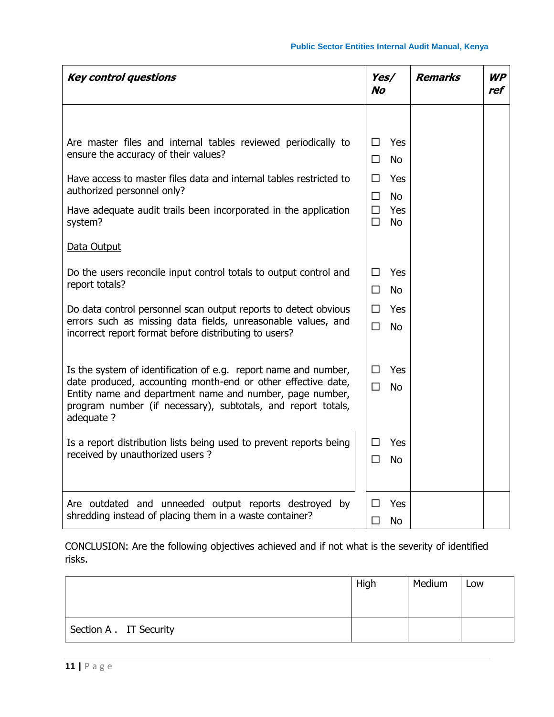| <b>Key control questions</b>                                                                                                                                                                           | Yes/<br><b>No</b>                    | <b>Remarks</b> | <b>WP</b><br>ref |
|--------------------------------------------------------------------------------------------------------------------------------------------------------------------------------------------------------|--------------------------------------|----------------|------------------|
|                                                                                                                                                                                                        |                                      |                |                  |
| Are master files and internal tables reviewed periodically to<br>ensure the accuracy of their values?                                                                                                  | Yes<br>П<br>П.<br>No.                |                |                  |
| Have access to master files data and internal tables restricted to<br>authorized personnel only?                                                                                                       | □<br>Yes<br><b>No</b><br>П           |                |                  |
| Have adequate audit trails been incorporated in the application<br>system?                                                                                                                             | $\Box$<br>Yes<br>$\Box$<br><b>No</b> |                |                  |
| Data Output                                                                                                                                                                                            |                                      |                |                  |
| Do the users reconcile input control totals to output control and<br>report totals?                                                                                                                    | □<br>Yes                             |                |                  |
|                                                                                                                                                                                                        | <b>No</b><br>П                       |                |                  |
| Do data control personnel scan output reports to detect obvious<br>errors such as missing data fields, unreasonable values, and<br>incorrect report format before distributing to users?               | П<br>Yes<br>$\Box$<br><b>No</b>      |                |                  |
| Is the system of identification of e.g. report name and number,                                                                                                                                        | Yes<br>$\Box$                        |                |                  |
| date produced, accounting month-end or other effective date,<br>Entity name and department name and number, page number,<br>program number (if necessary), subtotals, and report totals,<br>adequate ? |                                      |                |                  |
| Is a report distribution lists being used to prevent reports being<br>received by unauthorized users?                                                                                                  | Yes<br>$\Box$<br>□<br>No.            |                |                  |
| Are outdated and unneeded output reports destroyed by<br>shredding instead of placing them in a waste container?                                                                                       | П<br>Yes<br>□<br><b>No</b>           |                |                  |

CONCLUSION: Are the following objectives achieved and if not what is the severity of identified risks.

|                         | High | Medium | Low |
|-------------------------|------|--------|-----|
| Section A . IT Security |      |        |     |